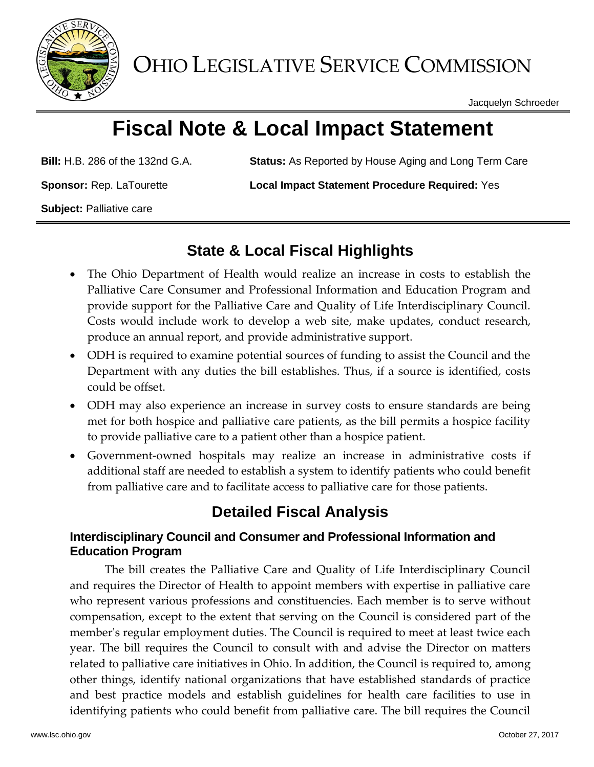

OHIO LEGISLATIVE SERVICE COMMISSION

Jacquelyn Schroeder

# **Fiscal Note & Local Impact Statement**

**Bill:** H.B. 286 of the 132nd G.A. **Status:** As Reported by House Aging and Long Term Care

**Sponsor:** Rep. LaTourette **Local Impact Statement Procedure Required:** Yes

**Subject:** Palliative care

### **State & Local Fiscal Highlights**

- The Ohio Department of Health would realize an increase in costs to establish the Palliative Care Consumer and Professional Information and Education Program and provide support for the Palliative Care and Quality of Life Interdisciplinary Council. Costs would include work to develop a web site, make updates, conduct research, produce an annual report, and provide administrative support.
- ODH is required to examine potential sources of funding to assist the Council and the Department with any duties the bill establishes. Thus, if a source is identified, costs could be offset.
- ODH may also experience an increase in survey costs to ensure standards are being met for both hospice and palliative care patients, as the bill permits a hospice facility to provide palliative care to a patient other than a hospice patient.
- Government-owned hospitals may realize an increase in administrative costs if additional staff are needed to establish a system to identify patients who could benefit from palliative care and to facilitate access to palliative care for those patients.

## **Detailed Fiscal Analysis**

#### **Interdisciplinary Council and Consumer and Professional Information and Education Program**

The bill creates the Palliative Care and Quality of Life Interdisciplinary Council and requires the Director of Health to appoint members with expertise in palliative care who represent various professions and constituencies. Each member is to serve without compensation, except to the extent that serving on the Council is considered part of the member's regular employment duties. The Council is required to meet at least twice each year. The bill requires the Council to consult with and advise the Director on matters related to palliative care initiatives in Ohio. In addition, the Council is required to, among other things, identify national organizations that have established standards of practice and best practice models and establish guidelines for health care facilities to use in identifying patients who could benefit from palliative care. The bill requires the Council